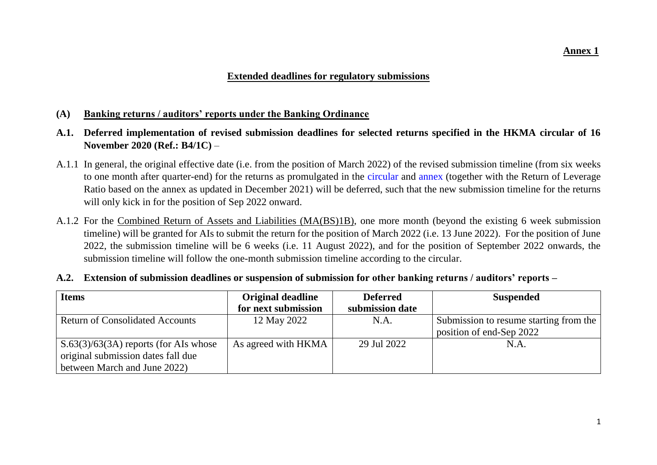### **Extended deadlines for regulatory submissions**

#### **(A) Banking returns / auditors' reports under the Banking Ordinance**

- **A.1. Deferred implementation of revised submission deadlines for selected returns specified in the HKMA circular of 16 November 2020 (Ref.: B4/1C)** –
- A.1.1 In general, the original effective date (i.e. from the position of March 2022) of the revised submission timeline (from six weeks to one month after quarter-end) for the returns as promulgated in the [circular](https://www.hkma.gov.hk/media/eng/doc/key-information/guidelines-and-circular/2020/20201116e1.pdf) and [annex](https://www.hkma.gov.hk/media/eng/doc/key-information/guidelines-and-circular/2020/20201116e1a5.pdf) (together with the Return of Leverage Ratio based on the annex as updated in December 2021) will be deferred, such that the new submission timeline for the returns will only kick in for the position of Sep 2022 onward.
- A.1.2 For the Combined Return of Assets and Liabilities (MA(BS)1B), one more month (beyond the existing 6 week submission timeline) will be granted for AIs to submit the return for the position of March 2022 (i.e. 13 June 2022). For the position of June 2022, the submission timeline will be 6 weeks (i.e. 11 August 2022), and for the position of September 2022 onwards, the submission timeline will follow the one-month submission timeline according to the circular.

| <b>Items</b>                            | <b>Original deadline</b> | <b>Deferred</b> | <b>Suspended</b>                       |
|-----------------------------------------|--------------------------|-----------------|----------------------------------------|
|                                         | for next submission      | submission date |                                        |
| <b>Return of Consolidated Accounts</b>  | 12 May 2022              | N.A.            | Submission to resume starting from the |
|                                         |                          |                 | position of end-Sep 2022               |
| $S.63(3)/63(3A)$ reports (for AIs whose | As agreed with HKMA      | 29 Jul 2022     | N.A.                                   |
| original submission dates fall due      |                          |                 |                                        |
| between March and June 2022)            |                          |                 |                                        |

#### **A.2. Extension of submission deadlines or suspension of submission for other banking returns / auditors' reports –**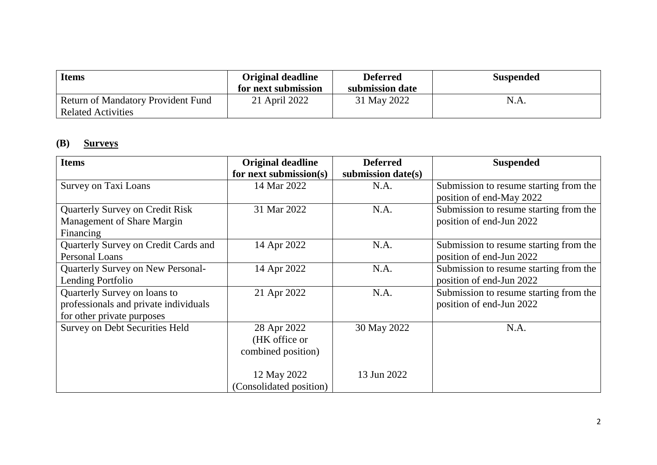| <b>Items</b>                                                    | <b>Original deadline</b><br>for next submission | <b>Deferred</b><br>submission date | <b>Suspended</b> |
|-----------------------------------------------------------------|-------------------------------------------------|------------------------------------|------------------|
| <b>Return of Mandatory Provident Fund</b><br>Related Activities | 21 April 2022                                   | 31 May 2022                        | N.A.             |

# **(B) Surveys**

| <b>Items</b>                           | <b>Original deadline</b> | <b>Deferred</b>    | <b>Suspended</b>                                                   |
|----------------------------------------|--------------------------|--------------------|--------------------------------------------------------------------|
|                                        | for next submission(s)   | submission date(s) |                                                                    |
| Survey on Taxi Loans                   | 14 Mar 2022              | N.A.               | Submission to resume starting from the<br>position of end-May 2022 |
| <b>Quarterly Survey on Credit Risk</b> | 31 Mar 2022              | N.A.               | Submission to resume starting from the                             |
| Management of Share Margin             |                          |                    | position of end-Jun 2022                                           |
| Financing                              |                          |                    |                                                                    |
| Quarterly Survey on Credit Cards and   | 14 Apr 2022              | N.A.               | Submission to resume starting from the                             |
| Personal Loans                         |                          |                    | position of end-Jun 2022                                           |
| Quarterly Survey on New Personal-      | 14 Apr 2022              | N.A.               | Submission to resume starting from the                             |
| Lending Portfolio                      |                          |                    | position of end-Jun 2022                                           |
| Quarterly Survey on loans to           | 21 Apr 2022              | N.A.               | Submission to resume starting from the                             |
| professionals and private individuals  |                          |                    | position of end-Jun 2022                                           |
| for other private purposes             |                          |                    |                                                                    |
| <b>Survey on Debt Securities Held</b>  | 28 Apr 2022              | 30 May 2022        | N.A.                                                               |
|                                        | (HK office or            |                    |                                                                    |
|                                        | combined position)       |                    |                                                                    |
|                                        |                          |                    |                                                                    |
|                                        | 12 May 2022              | 13 Jun 2022        |                                                                    |
|                                        | (Consolidated position)  |                    |                                                                    |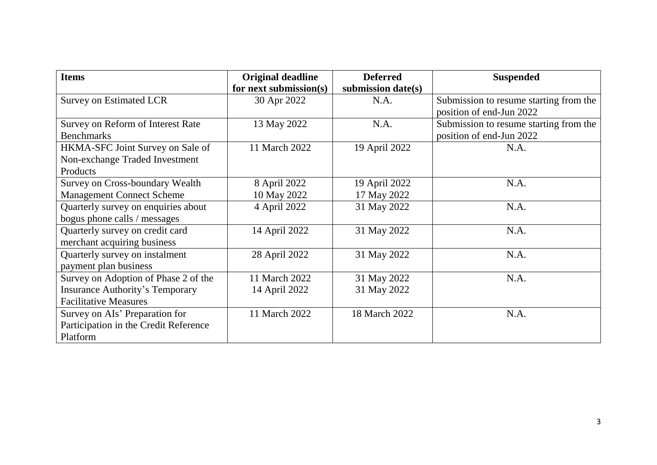| <b>Items</b>                           | <b>Original deadline</b> | <b>Deferred</b>    | <b>Suspended</b>                       |
|----------------------------------------|--------------------------|--------------------|----------------------------------------|
|                                        | for next submission(s)   | submission date(s) |                                        |
| <b>Survey on Estimated LCR</b>         | 30 Apr 2022              | N.A.               | Submission to resume starting from the |
|                                        |                          |                    | position of end-Jun 2022               |
| Survey on Reform of Interest Rate      | 13 May 2022              | N.A.               | Submission to resume starting from the |
| <b>Benchmarks</b>                      |                          |                    | position of end-Jun 2022               |
| HKMA-SFC Joint Survey on Sale of       | 11 March 2022            | 19 April 2022      | N.A.                                   |
| Non-exchange Traded Investment         |                          |                    |                                        |
| Products                               |                          |                    |                                        |
| Survey on Cross-boundary Wealth        | 8 April 2022             | 19 April 2022      | N.A.                                   |
| <b>Management Connect Scheme</b>       | 10 May 2022              | 17 May 2022        |                                        |
| Quarterly survey on enquiries about    | 4 April 2022             | 31 May 2022        | N.A.                                   |
| bogus phone calls / messages           |                          |                    |                                        |
| Quarterly survey on credit card        | 14 April 2022            | 31 May 2022        | N.A.                                   |
| merchant acquiring business            |                          |                    |                                        |
| Quarterly survey on instalment         | 28 April 2022            | 31 May 2022        | N.A.                                   |
| payment plan business                  |                          |                    |                                        |
| Survey on Adoption of Phase 2 of the   | 11 March 2022            | 31 May 2022        | N.A.                                   |
| <b>Insurance Authority's Temporary</b> | 14 April 2022            | 31 May 2022        |                                        |
| <b>Facilitative Measures</b>           |                          |                    |                                        |
| Survey on AIs' Preparation for         | 11 March 2022            | 18 March 2022      | N.A.                                   |
| Participation in the Credit Reference  |                          |                    |                                        |
| Platform                               |                          |                    |                                        |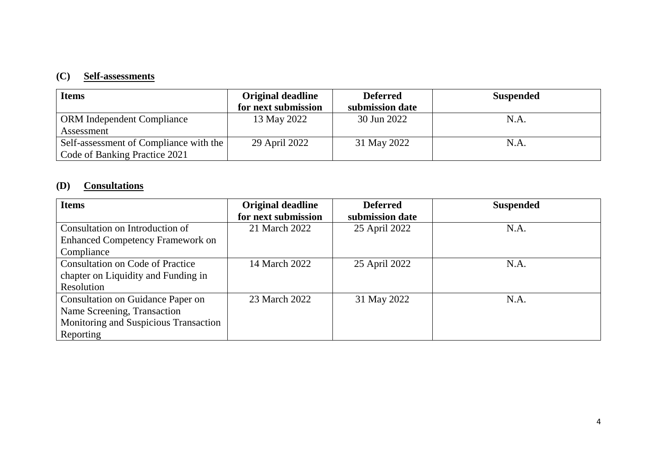### **(C) Self-assessments**

| <b>Items</b>                           | <b>Original deadline</b> | <b>Deferred</b> | <b>Suspended</b> |
|----------------------------------------|--------------------------|-----------------|------------------|
|                                        | for next submission      | submission date |                  |
| <b>ORM</b> Independent Compliance      | 13 May 2022              | 30 Jun 2022     | N.A.             |
| Assessment                             |                          |                 |                  |
| Self-assessment of Compliance with the | 29 April 2022            | 31 May 2022     | N.A.             |
| Code of Banking Practice 2021          |                          |                 |                  |

## **(D) Consultations**

| <b>Items</b>                            | Original deadline   | <b>Deferred</b> | <b>Suspended</b> |
|-----------------------------------------|---------------------|-----------------|------------------|
|                                         | for next submission | submission date |                  |
| Consultation on Introduction of         | 21 March 2022       | 25 April 2022   | N.A.             |
| <b>Enhanced Competency Framework on</b> |                     |                 |                  |
| Compliance                              |                     |                 |                  |
| <b>Consultation on Code of Practice</b> | 14 March 2022       | 25 April 2022   | N.A.             |
| chapter on Liquidity and Funding in     |                     |                 |                  |
| Resolution                              |                     |                 |                  |
| Consultation on Guidance Paper on       | 23 March 2022       | 31 May 2022     | N.A.             |
| Name Screening, Transaction             |                     |                 |                  |
| Monitoring and Suspicious Transaction   |                     |                 |                  |
| Reporting                               |                     |                 |                  |